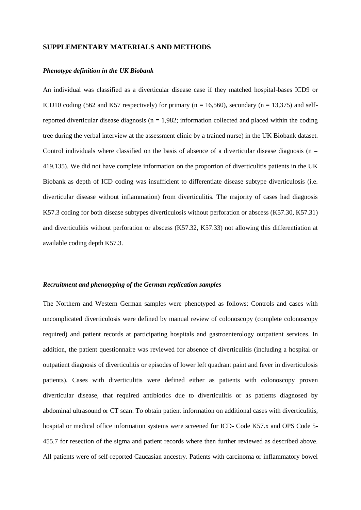## **SUPPLEMENTARY MATERIALS AND METHODS**

#### *Phenotype definition in the UK Biobank*

An individual was classified as a diverticular disease case if they matched hospital-bases ICD9 or ICD10 coding (562 and K57 respectively) for primary (n = 16,560), secondary (n = 13,375) and selfreported diverticular disease diagnosis ( $n = 1.982$ ; information collected and placed within the coding tree during the verbal interview at the assessment clinic by a trained nurse) in the UK Biobank dataset. Control individuals where classified on the basis of absence of a diverticular disease diagnosis ( $n =$ 419,135). We did not have complete information on the proportion of diverticulitis patients in the UK Biobank as depth of ICD coding was insufficient to differentiate disease subtype diverticulosis (i.e. diverticular disease without inflammation) from diverticulitis. The majority of cases had diagnosis K57.3 coding for both disease subtypes diverticulosis without perforation or abscess (K57.30, K57.31) and diverticulitis without perforation or abscess (K57.32, K57.33) not allowing this differentiation at available coding depth K57.3.

#### *Recruitment and phenotyping of the German replication samples*

The Northern and Western German samples were phenotyped as follows: Controls and cases with uncomplicated diverticulosis were defined by manual review of colonoscopy (complete colonoscopy required) and patient records at participating hospitals and gastroenterology outpatient services. In addition, the patient questionnaire was reviewed for absence of diverticulitis (including a hospital or outpatient diagnosis of diverticulitis or episodes of lower left quadrant paint and fever in diverticulosis patients). Cases with diverticulitis were defined either as patients with colonoscopy proven diverticular disease, that required antibiotics due to diverticulitis or as patients diagnosed by abdominal ultrasound or CT scan. To obtain patient information on additional cases with diverticulitis, hospital or medical office information systems were screened for ICD- Code K57.x and OPS Code 5- 455.7 for resection of the sigma and patient records where then further reviewed as described above. All patients were of self-reported Caucasian ancestry. Patients with carcinoma or inflammatory bowel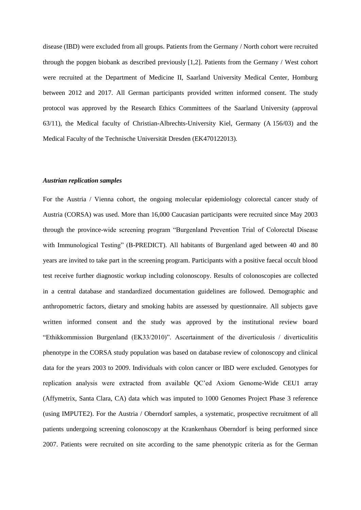disease (IBD) were excluded from all groups. Patients from the Germany / North cohort were recruited through the popgen biobank as described previously [1,2]. Patients from the Germany / West cohort were recruited at the Department of Medicine II, Saarland University Medical Center, Homburg between 2012 and 2017. All German participants provided written informed consent. The study protocol was approved by the Research Ethics Committees of the Saarland University (approval 63/11), the Medical faculty of Christian-Albrechts-University Kiel, Germany (A 156/03) and the Medical Faculty of the Technische Universität Dresden (EK470122013).

#### *Austrian replication samples*

For the Austria / Vienna cohort, the ongoing molecular epidemiology colorectal cancer study of Austria (CORSA) was used. More than 16,000 Caucasian participants were recruited since May 2003 through the province-wide screening program "Burgenland Prevention Trial of Colorectal Disease with Immunological Testing" (B-PREDICT). All habitants of Burgenland aged between 40 and 80 years are invited to take part in the screening program. Participants with a positive faecal occult blood test receive further diagnostic workup including colonoscopy. Results of colonoscopies are collected in a central database and standardized documentation guidelines are followed. Demographic and anthropometric factors, dietary and smoking habits are assessed by questionnaire. All subjects gave written informed consent and the study was approved by the institutional review board "Ethikkommission Burgenland (EK33/2010)". Ascertainment of the diverticulosis / diverticulitis phenotype in the CORSA study population was based on database review of colonoscopy and clinical data for the years 2003 to 2009. Individuals with colon cancer or IBD were excluded. Genotypes for replication analysis were extracted from available QC'ed Axiom Genome-Wide CEU1 array (Affymetrix, Santa Clara, CA) data which was imputed to 1000 Genomes Project Phase 3 reference (using IMPUTE2). For the Austria / Oberndorf samples, a systematic, prospective recruitment of all patients undergoing screening colonoscopy at the Krankenhaus Oberndorf is being performed since 2007. Patients were recruited on site according to the same phenotypic criteria as for the German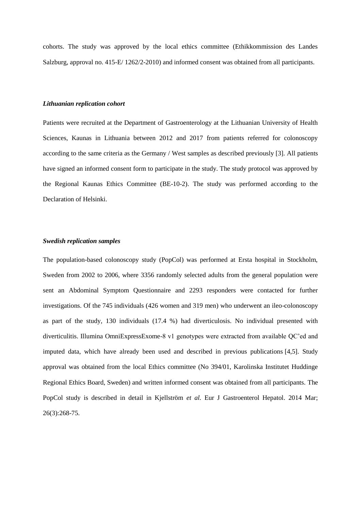cohorts. The study was approved by the local ethics committee (Ethikkommission des Landes Salzburg, approval no. 415-E/ 1262/2-2010) and informed consent was obtained from all participants.

#### *Lithuanian replication cohort*

Patients were recruited at the Department of Gastroenterology at the Lithuanian University of Health Sciences, Kaunas in Lithuania between 2012 and 2017 from patients referred for colonoscopy according to the same criteria as the Germany / West samples as described previously [3]. All patients have signed an informed consent form to participate in the study. The study protocol was approved by the Regional Kaunas Ethics Committee (BE-10-2). The study was performed according to the Declaration of Helsinki.

#### *Swedish replication samples*

The population-based colonoscopy study (PopCol) was performed at Ersta hospital in Stockholm, Sweden from 2002 to 2006, where 3356 randomly selected adults from the general population were sent an Abdominal Symptom Questionnaire and 2293 responders were contacted for further investigations. Of the 745 individuals (426 women and 319 men) who underwent an ileo-colonoscopy as part of the study, 130 individuals (17.4 %) had diverticulosis. No individual presented with diverticulitis. Illumina OmniExpressExome-8 v1 genotypes were extracted from available QC'ed and imputed data, which have already been used and described in previous publications [4,5]. Study approval was obtained from the local Ethics committee (No 394/01, Karolinska Institutet Huddinge Regional Ethics Board, Sweden) and written informed consent was obtained from all participants. The PopCol study is described in detail in Kjellström *et al.* Eur J Gastroenterol Hepatol. 2014 Mar; 26(3):268-75.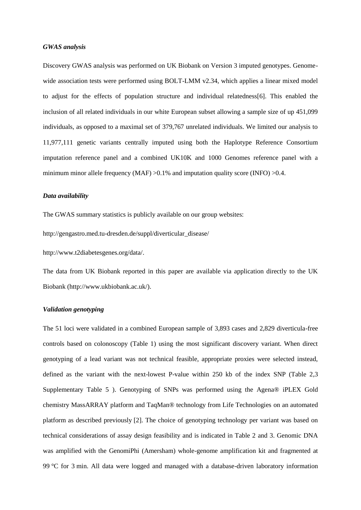### *GWAS analysis*

Discovery GWAS analysis was performed on UK Biobank on Version 3 imputed genotypes. Genomewide association tests were performed using BOLT-LMM v2.34, which applies a linear mixed model to adjust for the effects of population structure and individual relatedness[6]. This enabled the inclusion of all related individuals in our white European subset allowing a sample size of up 451,099 individuals, as opposed to a maximal set of 379,767 unrelated individuals. We limited our analysis to 11,977,111 genetic variants centrally imputed using both the Haplotype Reference Consortium imputation reference panel and a combined UK10K and 1000 Genomes reference panel with a minimum minor allele frequency (MAF)  $>0.1\%$  and imputation quality score (INFO)  $>0.4$ .

## *Data availability*

The GWAS summary statistics is publicly available on our group websites:

http://gengastro.med.tu-dresden.de/suppl/diverticular\_disease/

[http://www.t2diabetesgenes.org/data/.](https://owa.uniklinikum-dresden.de/owa/redir.aspx?C=4H0H7TFAEQH_W3DuTKWOQd0sBsCPhi1rbQTgQ-Yv28ACAV8ZkALWCA..&URL=http%3a%2f%2fwww.t2diabetesgenes.org%2fdata%2f)

The data from UK Biobank reported in this paper are available via application directly to the UK Biobank [\(http://www.ukbiobank.ac.uk/\)](https://owa.uniklinikum-dresden.de/owa/redir.aspx?C=Sv-o5PynywHPALZlyNM59vUx8k8n9it1qi2x9J9QdOECAV8ZkALWCA..&URL=http%3a%2f%2fwww.ukbiobank.ac.uk%2f).

#### *Validation genotyping*

The 51 loci were validated in a combined European sample of 3,893 cases and 2,829 diverticula-free controls based on colonoscopy (Table 1) using the most significant discovery variant. When direct genotyping of a lead variant was not technical feasible, appropriate proxies were selected instead, defined as the variant with the next-lowest P-value within 250 kb of the index SNP (Table 2,3 Supplementary Table 5 ). Genotyping of SNPs was performed using the Agena® iPLEX Gold chemistry MassARRAY platform and TaqMan® technology from Life Technologies on an automated platform as described previously [2]. The choice of genotyping technology per variant was based on technical considerations of assay design feasibility and is indicated in Table 2 and 3. Genomic DNA was amplified with the GenomiPhi (Amersham) whole-genome amplification kit and fragmented at 99 °C for 3 min. All data were logged and managed with a database-driven laboratory information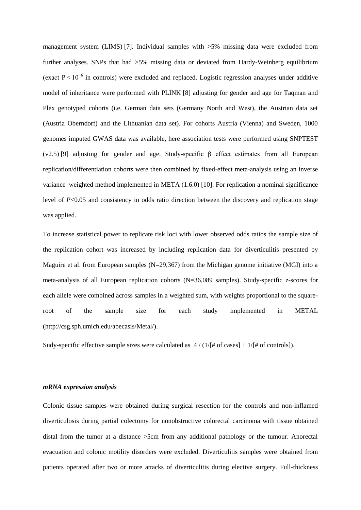management system (LIMS) [7]. Individual samples with  $>5\%$  missing data were excluded from further analyses. SNPs that had >5% missing data or deviated from Hardy-Weinberg equilibrium (exact  $P \le 10^{-6}$  in controls) were excluded and replaced. Logistic regression analyses under additive model of inheritance were performed with PLINK [8] adjusting for gender and age for Taqman and Plex genotyped cohorts (i.e. German data sets (Germany North and West), the Austrian data set (Austria Oberndorf) and the Lithuanian data set). For cohorts Austria (Vienna) and Sweden, 1000 genomes imputed GWAS data was available, here association tests were performed using SNPTEST (v2.5) [9] adjusting for gender and age. Study-specific β effect estimates from all European replication/differentiation cohorts were then combined by fixed-effect meta-analysis using an inverse variance–weighted method implemented in META (1.6.0) [10]. For replication a nominal significance level of *P*<0.05 and consistency in odds ratio direction between the discovery and replication stage was applied.

To increase statistical power to replicate risk loci with lower observed odds ratios the sample size of the replication cohort was increased by including replication data for diverticulitis presented by Maguire et al. from European samples (N=29,367) from the Michigan genome initiative (MGI) into a meta-analysis of all European replication cohorts (N=36,089 samples). Study-specific z-scores for each allele were combined across samples in a weighted sum, with weights proportional to the squareroot of the sample size for each study implemented in METAL (http://csg.sph.umich.edu/abecasis/Metal/).

Sudy-specific effective sample sizes were calculated as  $4 / (1/[# of cases] + 1/[# of controls])$ .

## *mRNA expression analysis*

Colonic tissue samples were obtained during surgical resection for the controls and non-inflamed diverticulosis during partial colectomy for nonobstructive colorectal carcinoma with tissue obtained distal from the tumor at a distance >5cm from any additional pathology or the tumour. Anorectal evacuation and colonic motility disorders were excluded. Diverticulitis samples were obtained from patients operated after two or more attacks of diverticulitis during elective surgery. Full-thickness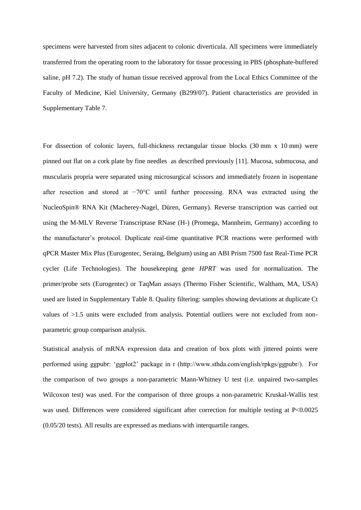specimens were harvested from sites adjacent to colonic diverticula. All specimens were immediately transferred from the operating room to the laboratory for tissue processing in PBS (phosphate-buffered saline, pH 7.2). The study of human tissue received approval from the Local Ethics Committee of the Faculty of Medicine, Kiel University, Germany (B299/07). Patient characteristics are provided in Supplementary Table 7.

For dissection of colonic layers, full-thickness rectangular tissue blocks (30 mm x 10 mm) were pinned out flat on a cork plate by fine needles as described previously [11]. Mucosa, submucosa, and muscularis propria were separated using microsurgical scissors and immediately frozen in isopentane after resection and stored at −70°C until further processing. RNA was extracted using the NucleoSpin® RNA Kit (Macherey-Nagel, Düren, Germany). Reverse transcription was carried out using the M-MLV Reverse Transcriptase RNase (H-) (Promega, Mannheim, Germany) according to the manufacturer's protocol. Duplicate real-time quantitative PCR reactions were performed with qPCR Master Mix Plus (Eurogentec, Seraing, Belgium) using an ABI Prism 7500 fast Real-Time PCR cycler (Life Technologies). The housekeeping gene *HPRT* was used for normalization. The primer/probe sets (Eurogentec) or TaqMan assays (Thermo Fisher Scientific, Waltham, MA, USA) used are listed in Supplementary Table 8. Quality filtering: samples showing deviations at duplicate Ct values of >1.5 units were excluded from analysis. Potential outliers were not excluded from nonparametric group comparison analysis.

Statistical analysis of mRNA expression data and creation of box plots with jittered points were performed using ggpubr: 'ggplot2' package in r (http://www.sthda.com/english/rpkgs/ggpubr/). For the comparison of two groups a non-parametric Mann-Whitney U test (i.e. unpaired two-samples Wilcoxon test) was used. For the comparison of three groups a non-parametric Kruskal-Wallis test was used. Differences were considered significant after correction for multiple testing at P<0.0025 (0.05/20 tests). All results are expressed as medians with interquartile ranges.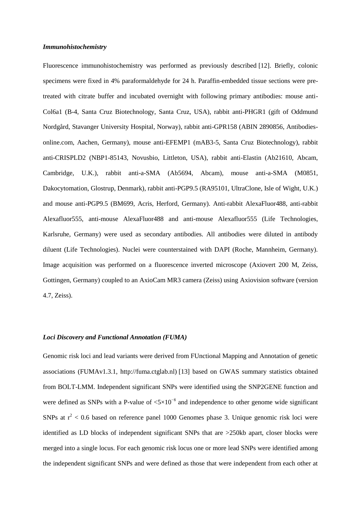## *Immunohistochemistry*

Fluorescence immunohistochemistry was performed as previously described [12]. Briefly, colonic specimens were fixed in 4% paraformaldehyde for 24 h. Paraffin-embedded tissue sections were pretreated with citrate buffer and incubated overnight with following primary antibodies: mouse anti-Col6a1 (B-4, Santa Cruz Biotechnology, Santa Cruz, USA), rabbit anti-PHGR1 (gift of Oddmund Nordgård, Stavanger University Hospital, Norway), rabbit anti-GPR158 (ABIN 2890856, Antibodiesonline.com, Aachen, Germany), mouse anti-EFEMP1 (mAB3-5, Santa Cruz Biotechnology), rabbit anti-CRISPLD2 (NBP1-85143, Novusbio, Littleton, USA), rabbit anti-Elastin (Ab21610, Abcam, Cambridge, U.K.), rabbit anti-a-SMA (Ab5694, Abcam), mouse anti-a-SMA (M0851, Dakocytomation, Glostrup, Denmark), rabbit anti-PGP9.5 (RA95101, UltraClone, Isle of Wight, U.K.) and mouse anti-PGP9.5 (BM699, Acris, Herford, Germany). Anti-rabbit AlexaFluor488, anti-rabbit Alexafluor555, anti-mouse AlexaFluor488 and anti-mouse Alexafluor555 (Life Technologies, Karlsruhe, Germany) were used as secondary antibodies. All antibodies were diluted in antibody diluent (Life Technologies). Nuclei were counterstained with DAPI (Roche, Mannheim, Germany). Image acquisition was performed on a fluorescence inverted microscope (Axiovert 200 M, Zeiss, Gottingen, Germany) coupled to an AxioCam MR3 camera (Zeiss) using Axiovision software (version 4.7, Zeiss).

## *Loci Discovery and Functional Annotation (FUMA)*

Genomic risk loci and lead variants were derived from FUnctional Mapping and Annotation of genetic associations (FUMAv1.3.1, http://fuma.ctglab.nl) [13] based on GWAS summary statistics obtained from BOLT-LMM. Independent significant SNPs were identified using the SNP2GENE function and were defined as SNPs with a P-value of  $< 5 \times 10^{-8}$  and independence to other genome wide significant SNPs at  $r^2$  < 0.6 based on reference panel 1000 Genomes phase 3. Unique genomic risk loci were identified as LD blocks of independent significant SNPs that are >250kb apart, closer blocks were merged into a single locus. For each genomic risk locus one or more lead SNPs were identified among the independent significant SNPs and were defined as those that were independent from each other at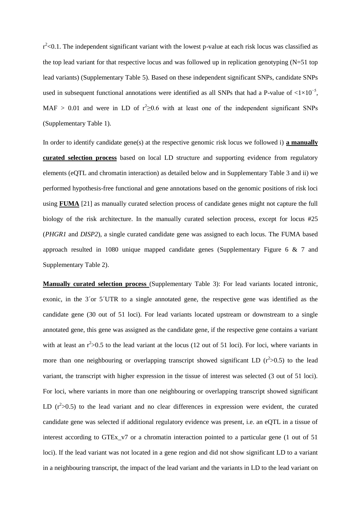$r^2$  <0.1. The independent significant variant with the lowest p-value at each risk locus was classified as the top lead variant for that respective locus and was followed up in replication genotyping (N=51 top lead variants) (Supplementary Table 5). Based on these independent significant SNPs, candidate SNPs used in subsequent functional annotations were identified as all SNPs that had a P-value of  $\langle 1 \times 10^{-5} \rangle$ , MAF > 0.01 and were in LD of  $r^2 \ge 0.6$  with at least one of the independent significant SNPs (Supplementary Table 1).

In order to identify candidate gene(s) at the respective genomic risk locus we followed i) **a manually curated selection process** based on local LD structure and supporting evidence from regulatory elements (eQTL and chromatin interaction) as detailed below and in Supplementary Table 3 and ii) we performed hypothesis-free functional and gene annotations based on the genomic positions of risk loci using **FUMA** [21] as manually curated selection process of candidate genes might not capture the full biology of the risk architecture. In the manually curated selection process, except for locus #25 (*PHGR1* and *DISP2*), a single curated candidate gene was assigned to each locus. The FUMA based approach resulted in 1080 unique mapped candidate genes (Supplementary Figure 6 & 7 and Supplementary Table 2).

**Manually curated selection process** (Supplementary Table 3): For lead variants located intronic, exonic, in the 3´or 5´UTR to a single annotated gene, the respective gene was identified as the candidate gene (30 out of 51 loci). For lead variants located upstream or downstream to a single annotated gene, this gene was assigned as the candidate gene, if the respective gene contains a variant with at least an  $r^2 > 0.5$  to the lead variant at the locus (12 out of 51 loci). For loci, where variants in more than one neighbouring or overlapping transcript showed significant LD  $(r^2>0.5)$  to the lead variant, the transcript with higher expression in the tissue of interest was selected (3 out of 51 loci). For loci, where variants in more than one neighbouring or overlapping transcript showed significant LD  $(r^2>0.5)$  to the lead variant and no clear differences in expression were evident, the curated candidate gene was selected if additional regulatory evidence was present, i.e. an eQTL in a tissue of interest according to GTEx v7 or a chromatin interaction pointed to a particular gene (1 out of 51) loci). If the lead variant was not located in a gene region and did not show significant LD to a variant in a neighbouring transcript, the impact of the lead variant and the variants in LD to the lead variant on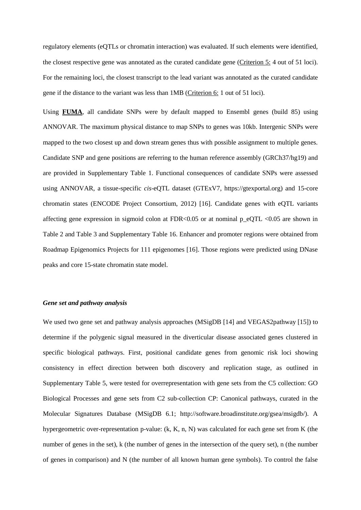regulatory elements (eQTLs or chromatin interaction) was evaluated. If such elements were identified, the closest respective gene was annotated as the curated candidate gene (Criterion 5: 4 out of 51 loci). For the remaining loci, the closest transcript to the lead variant was annotated as the curated candidate gene if the distance to the variant was less than 1MB (Criterion 6: 1 out of 51 loci).

Using **FUMA**, all candidate SNPs were by default mapped to Ensembl genes (build 85) using ANNOVAR. The maximum physical distance to map SNPs to genes was 10kb. Intergenic SNPs were mapped to the two closest up and down stream genes thus with possible assignment to multiple genes. Candidate SNP and gene positions are referring to the human reference assembly (GRCh37/hg19) and are provided in Supplementary Table 1. Functional consequences of candidate SNPs were assessed using ANNOVAR, a tissue-specific *cis*-eQTL dataset (GTExV7, https://gtexportal.org) and 15-core chromatin states (ENCODE Project Consortium, 2012) [16]. Candidate genes with eQTL variants affecting gene expression in sigmoid colon at FDR<0.05 or at nominal  $p_{e}qTL < 0.05$  are shown in Table 2 and Table 3 and Supplementary Table 16. Enhancer and promoter regions were obtained from Roadmap Epigenomics Projects for 111 epigenomes [16]. Those regions were predicted using DNase peaks and core 15-state chromatin state model.

## *Gene set and pathway analysis*

We used two gene set and pathway analysis approaches (MSigDB [14] and VEGAS2pathway [15]) to determine if the polygenic signal measured in the diverticular disease associated genes clustered in specific biological pathways. First, positional candidate genes from genomic risk loci showing consistency in effect direction between both discovery and replication stage, as outlined in Supplementary Table 5, were tested for overrepresentation with gene sets from the C5 collection: GO Biological Processes and gene sets from C2 sub-collection CP: Canonical pathways, curated in the Molecular Signatures Database (MSigDB 6.1; http://software.broadinstitute.org/gsea/msigdb/). A hypergeometric over-representation p-value: (k, K, n, N) was calculated for each gene set from K (the number of genes in the set), k (the number of genes in the intersection of the query set), n (the number of genes in comparison) and N (the number of all known human gene symbols). To control the false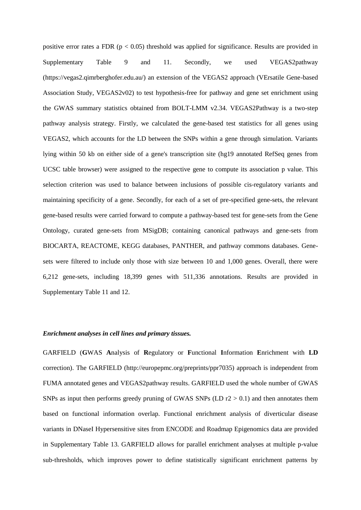positive error rates a FDR ( $p < 0.05$ ) threshold was applied for significance. Results are provided in Supplementary Table 9 and 11. Secondly, we used VEGAS2pathway (https://vegas2.qimrberghofer.edu.au/) an extension of the VEGAS2 approach (VErsatile Gene-based Association Study, VEGAS2v02) to test hypothesis-free for pathway and gene set enrichment using the GWAS summary statistics obtained from BOLT-LMM v2.34. VEGAS2Pathway is a two-step pathway analysis strategy. Firstly, we calculated the gene-based test statistics for all genes using VEGAS2, which accounts for the LD between the SNPs within a gene through simulation. Variants lying within 50 kb on either side of a gene's transcription site (hg19 annotated RefSeq genes from UCSC table browser) were assigned to the respective gene to compute its association p value. This selection criterion was used to balance between inclusions of possible cis-regulatory variants and maintaining specificity of a gene. Secondly, for each of a set of pre-specified gene-sets, the relevant gene-based results were carried forward to compute a pathway-based test for gene-sets from the Gene Ontology, curated gene-sets from MSigDB; containing canonical pathways and gene-sets from BIOCARTA, REACTOME, KEGG databases, PANTHER, and pathway commons databases. Genesets were filtered to include only those with size between 10 and 1,000 genes. Overall, there were 6,212 gene-sets, including 18,399 genes with 511,336 annotations. Results are provided in Supplementary Table 11 and 12.

## *Enrichment analyses in cell lines and primary tissues.*

GARFIELD (**G**WAS **A**nalysis of **R**egulatory or **F**unctional **I**nformation **E**nrichment with **LD** correction). The GARFIELD (http://europepmc.org/preprints/ppr7035) approach is independent from FUMA annotated genes and VEGAS2pathway results. GARFIELD used the whole number of GWAS SNPs as input then performs greedy pruning of GWAS SNPs (LD  $r2 > 0.1$ ) and then annotates them based on functional information overlap. Functional enrichment analysis of diverticular disease variants in DNaseI Hypersensitive sites from ENCODE and Roadmap Epigenomics data are provided in Supplementary Table 13. GARFIELD allows for parallel enrichment analyses at multiple p-value sub-thresholds, which improves power to define statistically significant enrichment patterns by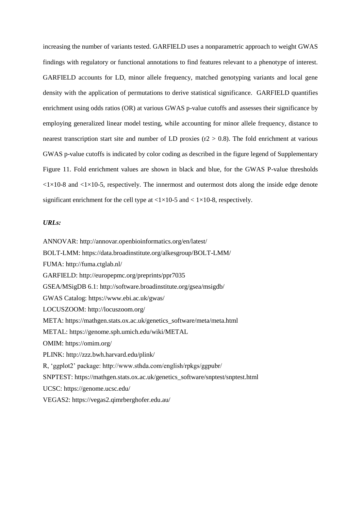increasing the number of variants tested. GARFIELD uses a nonparametric approach to weight GWAS findings with regulatory or functional annotations to find features relevant to a phenotype of interest. GARFIELD accounts for LD, minor allele frequency, matched genotyping variants and local gene density with the application of permutations to derive statistical significance. GARFIELD quantifies enrichment using odds ratios (OR) at various GWAS p-value cutoffs and assesses their significance by employing generalized linear model testing, while accounting for minor allele frequency, distance to nearest transcription start site and number of LD proxies ( $r2 > 0.8$ ). The fold enrichment at various GWAS p-value cutoffs is indicated by color coding as described in the figure legend of Supplementary Figure 11. Fold enrichment values are shown in black and blue, for the GWAS P-value thresholds  $\langle 1 \times 10^{-8}$  and  $\langle 1 \times 10^{-5}$ , respectively. The innermost and outermost dots along the inside edge denote significant enrichment for the cell type at  $\langle 1 \times 10^{-5}$  and  $\langle 1 \times 10^{-8}$ , respectively.

## *URLs:*

ANNOVAR: http://annovar.openbioinformatics.org/en/latest/ BOLT-LMM: https://data.broadinstitute.org/alkesgroup/BOLT-LMM/ FUMA: http://fuma.ctglab.nl/ GARFIELD: http://europepmc.org/preprints/ppr7035 GSEA/MSigDB 6.1:<http://software.broadinstitute.org/gsea/msigdb/> GWAS Catalog:<https://www.ebi.ac.uk/gwas/> LOCUSZOOM: http://locuszoom.org/ META: https://mathgen.stats.ox.ac.uk/genetics\_software/meta/meta.html METAL: https://genome.sph.umich.edu/wiki/METAL OMIM:<https://omim.org/> PLINK: http://zzz.bwh.harvard.edu/plink/ R, 'ggplot2' package: http://www.sthda.com/english/rpkgs/ggpubr/ SNPTEST: https://mathgen.stats.ox.ac.uk/genetics\_software/snptest/snptest.html UCSC: https://genome.ucsc.edu/ VEGAS2: https://vegas2.qimrberghofer.edu.au/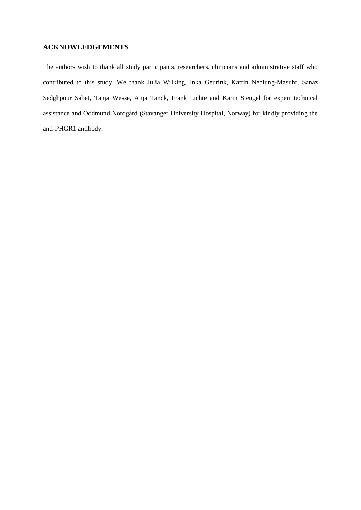# **ACKNOWLEDGEMENTS**

The authors wish to thank all study participants, researchers, clinicians and administrative staff who contributed to this study. We thank Julia Wilking, Inka Geurink, Katrin Neblung-Masuhr, Sanaz Sedghpour Sabet, Tanja Wesse, Anja Tanck, Frank Lichte and Karin Stengel for expert technical assistance and Oddmund Nordgård (Stavanger University Hospital, Norway) for kindly providing the anti-PHGR1 antibody.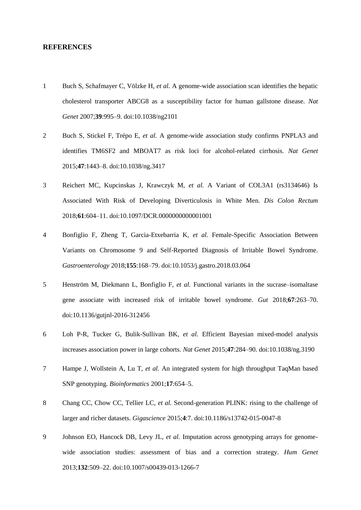# **REFERENCES**

- 1 Buch S, Schafmayer C, Völzke H, *et al.* A genome-wide association scan identifies the hepatic cholesterol transporter ABCG8 as a susceptibility factor for human gallstone disease. *Nat Genet* 2007;**39**:995–9. doi:10.1038/ng2101
- 2 Buch S, Stickel F, Trépo E, *et al.* A genome-wide association study confirms PNPLA3 and identifies TM6SF2 and MBOAT7 as risk loci for alcohol-related cirrhosis. *Nat Genet* 2015;**47**:1443–8. doi:10.1038/ng.3417
- 3 Reichert MC, Kupcinskas J, Krawczyk M, *et al.* A Variant of COL3A1 (rs3134646) Is Associated With Risk of Developing Diverticulosis in White Men. *Dis Colon Rectum* 2018;**61**:604–11. doi:10.1097/DCR.0000000000001001
- 4 Bonfiglio F, Zheng T, Garcia-Etxebarria K, *et al.* Female-Specific Association Between Variants on Chromosome 9 and Self-Reported Diagnosis of Irritable Bowel Syndrome. *Gastroenterology* 2018;**155**:168–79. doi:10.1053/j.gastro.2018.03.064
- 5 Henström M, Diekmann L, Bonfiglio F, *et al.* Functional variants in the sucrase–isomaltase gene associate with increased risk of irritable bowel syndrome. *Gut* 2018;**67**:263–70. doi:10.1136/gutjnl-2016-312456
- 6 Loh P-R, Tucker G, Bulik-Sullivan BK, *et al.* Efficient Bayesian mixed-model analysis increases association power in large cohorts. *Nat Genet* 2015;**47**:284–90. doi:10.1038/ng.3190
- 7 Hampe J, Wollstein A, Lu T, *et al.* An integrated system for high throughput TaqMan based SNP genotyping. *Bioinformatics* 2001;**17**:654–5.
- 8 Chang CC, Chow CC, Tellier LC, *et al.* Second-generation PLINK: rising to the challenge of larger and richer datasets. *Gigascience* 2015;**4**:7. doi:10.1186/s13742-015-0047-8
- 9 Johnson EO, Hancock DB, Levy JL, *et al.* Imputation across genotyping arrays for genomewide association studies: assessment of bias and a correction strategy. *Hum Genet* 2013;**132**:509–22. doi:10.1007/s00439-013-1266-7